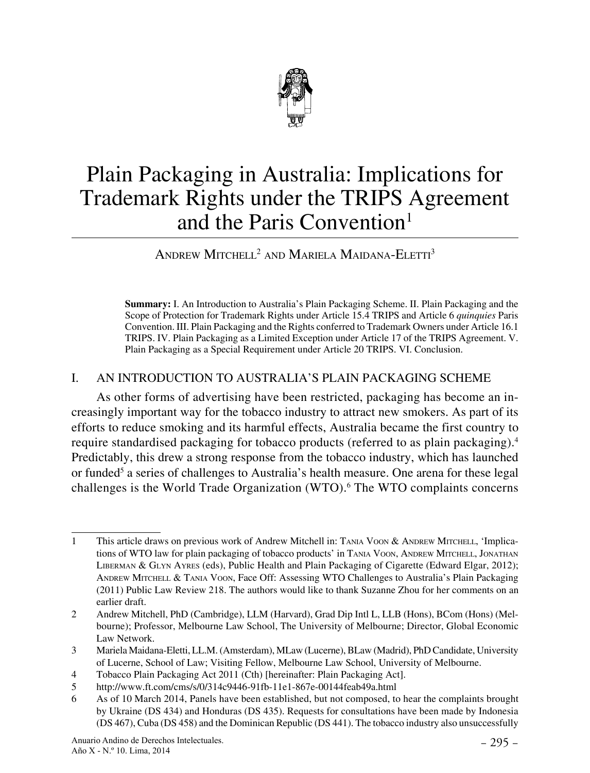

# Plain Packaging in Australia: Implications for Trademark Rights under the TRIPS Agreement and the Paris Convention<sup>1</sup>

## Andrew Mitchell2 and Mariela Maidana-Eletti3

 **Summary:** I. An Introduction to Australia's Plain Packaging Scheme. II. Plain Packaging and the Scope of Protection for Trademark Rights under Article 15.4 TRIPS and Article 6 *quinquies* Paris Convention. III. Plain Packaging and the Rights conferred to Trademark Owners under Article 16.1 TRIPS. IV. Plain Packaging as a Limited Exception under Article 17 of the TRIPS Agreement. V. Plain Packaging as a Special Requirement under Article 20 TRIPS. VI. Conclusion.

#### I. AN INTRODUCTION TO AUSTRALIA'S PLAIN PACKAGING SCHEME

As other forms of advertising have been restricted, packaging has become an increasingly important way for the tobacco industry to attract new smokers. As part of its efforts to reduce smoking and its harmful effects, Australia became the first country to require standardised packaging for tobacco products (referred to as plain packaging).4 Predictably, this drew a strong response from the tobacco industry, which has launched or funded<sup>5</sup> a series of challenges to Australia's health measure. One arena for these legal challenges is the World Trade Organization (WTO).<sup>6</sup> The WTO complaints concerns

<sup>1</sup> This article draws on previous work of Andrew Mitchell in: TANIA VOON & ANDREW MITCHELL, 'Implications of WTO law for plain packaging of tobacco products' in Tania Voon, Andrew Mitchell, Jonathan Liberman & Glyn Ayres (eds), Public Health and Plain Packaging of Cigarette (Edward Elgar, 2012); Andrew Mitchell & Tania Voon, Face Off: Assessing WTO Challenges to Australia's Plain Packaging (2011) Public Law Review 218. The authors would like to thank Suzanne Zhou for her comments on an earlier draft.

<sup>2</sup> Andrew Mitchell, PhD (Cambridge), LLM (Harvard), Grad Dip Intl L, LLB (Hons), BCom (Hons) (Melbourne); Professor, Melbourne Law School, The University of Melbourne; Director, Global Economic Law Network.

<sup>3</sup> Mariela Maidana-Eletti, LL.M. (Amsterdam), MLaw (Lucerne), BLaw (Madrid), PhD Candidate, University of Lucerne, School of Law; Visiting Fellow, Melbourne Law School, University of Melbourne.

<sup>4</sup> Tobacco Plain Packaging Act 2011 (Cth) [hereinafter: Plain Packaging Act].

<sup>5</sup> http://www.ft.com/cms/s/0/314c9446-91fb-11e1-867e-00144feab49a.html

<sup>6</sup> As of 10 March 2014, Panels have been established, but not composed, to hear the complaints brought by Ukraine (DS 434) and Honduras (DS 435). Requests for consultations have been made by Indonesia (DS 467), Cuba (DS 458) and the Dominican Republic (DS 441). The tobacco industry also unsuccessfully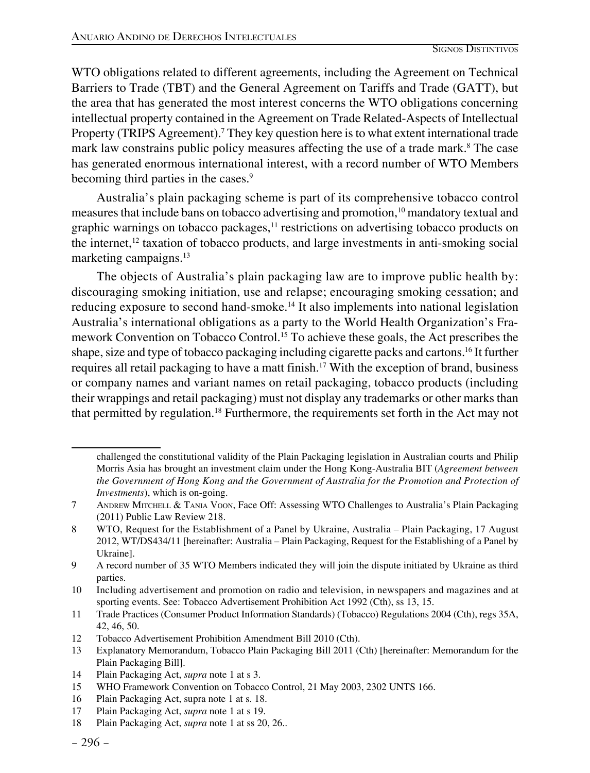WTO obligations related to different agreements, including the Agreement on Technical Barriers to Trade (TBT) and the General Agreement on Tariffs and Trade (GATT), but the area that has generated the most interest concerns the WTO obligations concerning intellectual property contained in the Agreement on Trade Related-Aspects of Intellectual Property (TRIPS Agreement).<sup>7</sup> They key question here is to what extent international trade mark law constrains public policy measures affecting the use of a trade mark.<sup>8</sup> The case has generated enormous international interest, with a record number of WTO Members becoming third parties in the cases.<sup>9</sup>

Australia's plain packaging scheme is part of its comprehensive tobacco control measures that include bans on tobacco advertising and promotion,<sup>10</sup> mandatory textual and graphic warnings on tobacco packages,<sup>11</sup> restrictions on advertising tobacco products on the internet,12 taxation of tobacco products, and large investments in anti-smoking social marketing campaigns.13

The objects of Australia's plain packaging law are to improve public health by: discouraging smoking initiation, use and relapse; encouraging smoking cessation; and reducing exposure to second hand-smoke.14 It also implements into national legislation Australia's international obligations as a party to the World Health Organization's Framework Convention on Tobacco Control.15 To achieve these goals, the Act prescribes the shape, size and type of tobacco packaging including cigarette packs and cartons.16 It further requires all retail packaging to have a matt finish.17 With the exception of brand, business or company names and variant names on retail packaging, tobacco products (including their wrappings and retail packaging) must not display any trademarks or other marks than that permitted by regulation.18 Furthermore, the requirements set forth in the Act may not

challenged the constitutional validity of the Plain Packaging legislation in Australian courts and Philip Morris Asia has brought an investment claim under the Hong Kong-Australia BIT (*Agreement between the Government of Hong Kong and the Government of Australia for the Promotion and Protection of Investments*), which is on-going.

<sup>7</sup> Andrew Mitchell & Tania Voon, Face Off: Assessing WTO Challenges to Australia's Plain Packaging (2011) Public Law Review 218.

<sup>8</sup> WTO, Request for the Establishment of a Panel by Ukraine, Australia – Plain Packaging, 17 August 2012, WT/DS434/11 [hereinafter: Australia – Plain Packaging, Request for the Establishing of a Panel by Ukraine].

<sup>9</sup> A record number of 35 WTO Members indicated they will join the dispute initiated by Ukraine as third parties.

<sup>10</sup> Including advertisement and promotion on radio and television, in newspapers and magazines and at sporting events. See: Tobacco Advertisement Prohibition Act 1992 (Cth), ss 13, 15.

<sup>11</sup> Trade Practices (Consumer Product Information Standards) (Tobacco) Regulations 2004 (Cth), regs 35A, 42, 46, 50.

<sup>12</sup> Tobacco Advertisement Prohibition Amendment Bill 2010 (Cth).

<sup>13</sup> Explanatory Memorandum, Tobacco Plain Packaging Bill 2011 (Cth) [hereinafter: Memorandum for the Plain Packaging Bill].

<sup>14</sup> Plain Packaging Act, *supra* note 1 at s 3.

<sup>15</sup> WHO Framework Convention on Tobacco Control, 21 May 2003, 2302 UNTS 166.

<sup>16</sup> Plain Packaging Act, supra note 1 at s. 18.

<sup>17</sup> Plain Packaging Act, *supra* note 1 at s 19.

<sup>18</sup> Plain Packaging Act, *supra* note 1 at ss 20, 26..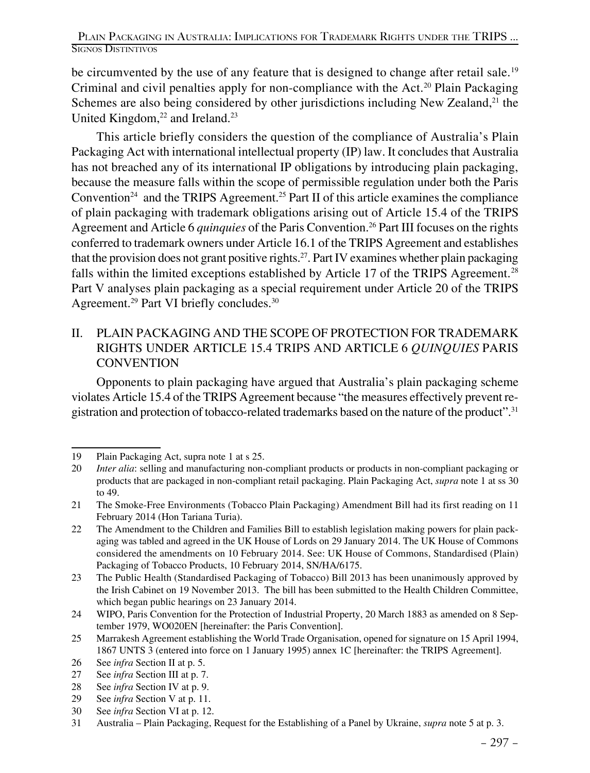be circumvented by the use of any feature that is designed to change after retail sale.<sup>19</sup> Criminal and civil penalties apply for non-compliance with the Act.<sup>20</sup> Plain Packaging Schemes are also being considered by other jurisdictions including New Zealand, $^{21}$  the United Kingdom, $22$  and Ireland. $23$ 

This article briefly considers the question of the compliance of Australia's Plain Packaging Act with international intellectual property (IP) law. It concludes that Australia has not breached any of its international IP obligations by introducing plain packaging, because the measure falls within the scope of permissible regulation under both the Paris Convention<sup>24</sup> and the TRIPS Agreement.<sup>25</sup> Part II of this article examines the compliance of plain packaging with trademark obligations arising out of Article 15.4 of the TRIPS Agreement and Article 6 *quinquies* of the Paris Convention.26 Part III focuses on the rights conferred to trademark owners under Article 16.1 of the TRIPS Agreement and establishes that the provision does not grant positive rights.27. Part IV examines whether plain packaging falls within the limited exceptions established by Article 17 of the TRIPS Agreement.<sup>28</sup> Part V analyses plain packaging as a special requirement under Article 20 of the TRIPS Agreement.<sup>29</sup> Part VI briefly concludes.<sup>30</sup>

#### II. PLAIN PACKAGING AND THE SCOPE OF PROTECTION FOR TRADEMARK RIGHTS UNDER ARTICLE 15.4 TRIPS AND ARTICLE 6 *QUINQUIES* PARIS **CONVENTION**

Opponents to plain packaging have argued that Australia's plain packaging scheme violates Article 15.4 of the TRIPS Agreement because "the measures effectively prevent registration and protection of tobacco-related trademarks based on the nature of the product".<sup>31</sup>

30 See *infra* Section VI at p. 12.

<sup>19</sup> Plain Packaging Act, supra note 1 at s 25.

<sup>20</sup> *Inter alia*: selling and manufacturing non-compliant products or products in non-compliant packaging or products that are packaged in non-compliant retail packaging. Plain Packaging Act, *supra* note 1 at ss 30 to 49.

<sup>21</sup> The Smoke-Free Environments (Tobacco Plain Packaging) Amendment Bill had its first reading on 11 February 2014 (Hon Tariana Turia).

<sup>22</sup> The Amendment to the Children and Families Bill to establish legislation making powers for plain packaging was tabled and agreed in the UK House of Lords on 29 January 2014. The UK House of Commons considered the amendments on 10 February 2014. See: UK House of Commons, Standardised (Plain) Packaging of Tobacco Products, 10 February 2014, SN/HA/6175.

<sup>23</sup> The Public Health (Standardised Packaging of Tobacco) Bill 2013 has been unanimously approved by the Irish Cabinet on 19 November 2013. The bill has been submitted to the Health Children Committee, which began public hearings on 23 January 2014.

<sup>24</sup> WIPO, Paris Convention for the Protection of Industrial Property, 20 March 1883 as amended on 8 September 1979, WO020EN [hereinafter: the Paris Convention].

<sup>25</sup> Marrakesh Agreement establishing the World Trade Organisation, opened for signature on 15 April 1994, 1867 UNTS 3 (entered into force on 1 January 1995) annex 1C [hereinafter: the TRIPS Agreement].

<sup>26</sup> See *infra* Section II at p. 5.

<sup>27</sup> See *infra* Section III at p. 7.

<sup>28</sup> See *infra* Section IV at p. 9.

<sup>29</sup> See *infra* Section V at p. 11.

<sup>31</sup> Australia – Plain Packaging, Request for the Establishing of a Panel by Ukraine, *supra* note 5 at p. 3.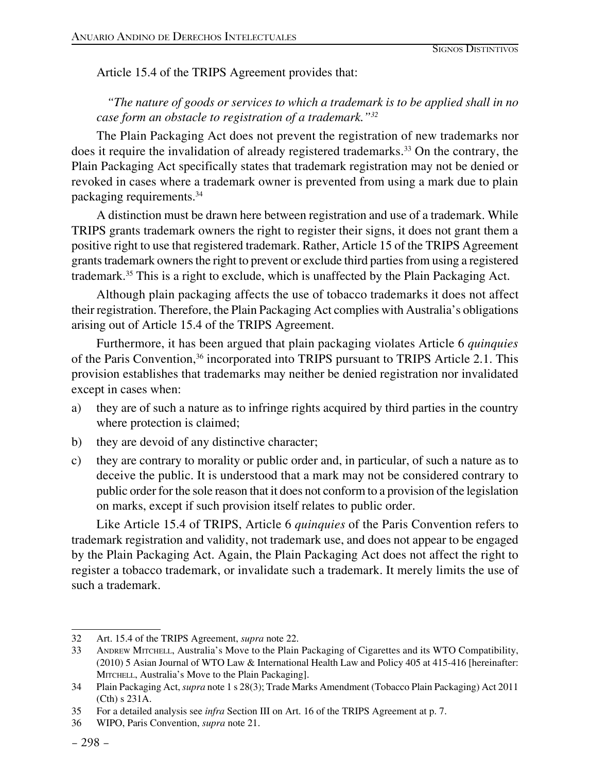Article 15.4 of the TRIPS Agreement provides that:

*"The nature of goods or services to which a trademark is to be applied shall in no case form an obstacle to registration of a trademark."32*

The Plain Packaging Act does not prevent the registration of new trademarks nor does it require the invalidation of already registered trademarks.<sup>33</sup> On the contrary, the Plain Packaging Act specifically states that trademark registration may not be denied or revoked in cases where a trademark owner is prevented from using a mark due to plain packaging requirements.34

A distinction must be drawn here between registration and use of a trademark. While TRIPS grants trademark owners the right to register their signs, it does not grant them a positive right to use that registered trademark. Rather, Article 15 of the TRIPS Agreement grants trademark owners the right to prevent or exclude third parties from using a registered trademark.35 This is a right to exclude, which is unaffected by the Plain Packaging Act.

Although plain packaging affects the use of tobacco trademarks it does not affect their registration. Therefore, the Plain Packaging Act complies with Australia's obligations arising out of Article 15.4 of the TRIPS Agreement.

Furthermore, it has been argued that plain packaging violates Article 6 *quinquies* of the Paris Convention,<sup>36</sup> incorporated into TRIPS pursuant to TRIPS Article 2.1. This provision establishes that trademarks may neither be denied registration nor invalidated except in cases when:

- a) they are of such a nature as to infringe rights acquired by third parties in the country where protection is claimed;
- b) they are devoid of any distinctive character;
- c) they are contrary to morality or public order and, in particular, of such a nature as to deceive the public. It is understood that a mark may not be considered contrary to public order for the sole reason that it does not conform to a provision of the legislation on marks, except if such provision itself relates to public order.

Like Article 15.4 of TRIPS, Article 6 *quinquies* of the Paris Convention refers to trademark registration and validity, not trademark use, and does not appear to be engaged by the Plain Packaging Act. Again, the Plain Packaging Act does not affect the right to register a tobacco trademark, or invalidate such a trademark. It merely limits the use of such a trademark.

<sup>32</sup> Art. 15.4 of the TRIPS Agreement, *supra* note 22.

<sup>33</sup> Andrew Mitchell, Australia's Move to the Plain Packaging of Cigarettes and its WTO Compatibility, (2010) 5 Asian Journal of WTO Law & International Health Law and Policy 405 at 415-416 [hereinafter: MITCHELL, Australia's Move to the Plain Packaging].

<sup>34</sup> Plain Packaging Act, *supra* note 1 s 28(3); Trade Marks Amendment (Tobacco Plain Packaging) Act 2011 (Cth) s 231A.

<sup>35</sup> For a detailed analysis see *infra* Section III on Art. 16 of the TRIPS Agreement at p. 7.

<sup>36</sup> WIPO, Paris Convention, *supra* note 21.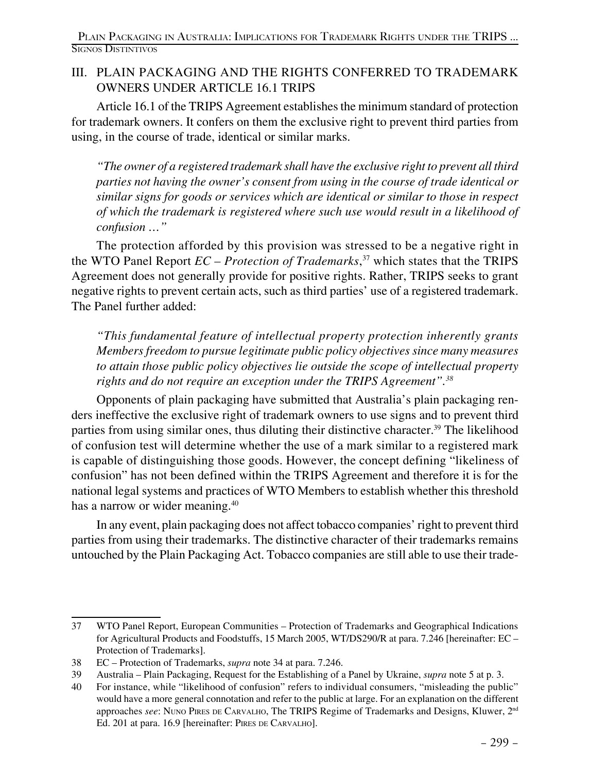#### III. PLAIN PACKAGING AND THE RIGHTS CONFERRED TO TRADEMARK OWNERS UNDER ARTICLE 16.1 TRIPS

Article 16.1 of the TRIPS Agreement establishes the minimum standard of protection for trademark owners. It confers on them the exclusive right to prevent third parties from using, in the course of trade, identical or similar marks.

*"The owner of a registered trademark shall have the exclusive right to prevent all third parties not having the owner's consent from using in the course of trade identical or similar signs for goods or services which are identical or similar to those in respect of which the trademark is registered where such use would result in a likelihood of confusion …"*

The protection afforded by this provision was stressed to be a negative right in the WTO Panel Report *EC – Protection of Trademarks*, 37 which states that the TRIPS Agreement does not generally provide for positive rights. Rather, TRIPS seeks to grant negative rights to prevent certain acts, such as third parties' use of a registered trademark. The Panel further added:

*"This fundamental feature of intellectual property protection inherently grants Members freedom to pursue legitimate public policy objectives since many measures to attain those public policy objectives lie outside the scope of intellectual property rights and do not require an exception under the TRIPS Agreement".38*

Opponents of plain packaging have submitted that Australia's plain packaging renders ineffective the exclusive right of trademark owners to use signs and to prevent third parties from using similar ones, thus diluting their distinctive character.<sup>39</sup> The likelihood of confusion test will determine whether the use of a mark similar to a registered mark is capable of distinguishing those goods. However, the concept defining "likeliness of confusion" has not been defined within the TRIPS Agreement and therefore it is for the national legal systems and practices of WTO Members to establish whether this threshold has a narrow or wider meaning.<sup>40</sup>

In any event, plain packaging does not affect tobacco companies' right to prevent third parties from using their trademarks. The distinctive character of their trademarks remains untouched by the Plain Packaging Act. Tobacco companies are still able to use their trade-

<sup>37</sup> WTO Panel Report, European Communities – Protection of Trademarks and Geographical Indications for Agricultural Products and Foodstuffs, 15 March 2005, WT/DS290/R at para. 7.246 [hereinafter: EC – Protection of Trademarks].

<sup>38</sup> EC – Protection of Trademarks, *supra* note 34 at para. 7.246.

<sup>39</sup> Australia – Plain Packaging, Request for the Establishing of a Panel by Ukraine, *supra* note 5 at p. 3.

<sup>40</sup> For instance, while "likelihood of confusion" refers to individual consumers, "misleading the public" would have a more general connotation and refer to the public at large. For an explanation on the different арргоасhes *see*: NUNO PIRES DE CARVALHO, The TRIPS Regime of Trademarks and Designs, Kluwer, 2<sup>nd</sup> Ed. 201 at para. 16.9 [hereinafter: Pires de Carvalho].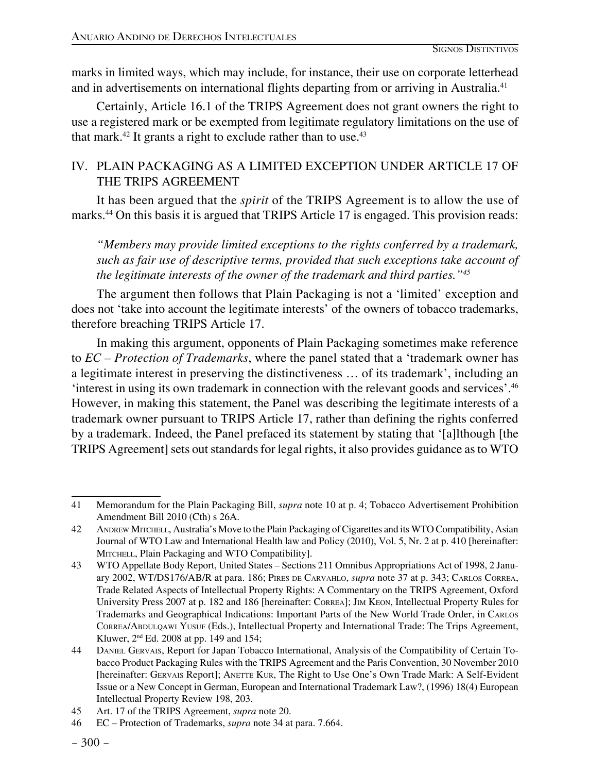marks in limited ways, which may include, for instance, their use on corporate letterhead and in advertisements on international flights departing from or arriving in Australia.41

Certainly, Article 16.1 of the TRIPS Agreement does not grant owners the right to use a registered mark or be exempted from legitimate regulatory limitations on the use of that mark. $42$  It grants a right to exclude rather than to use. $43$ 

#### IV. PLAIN PACKAGING AS A LIMITED EXCEPTION UNDER ARTICLE 17 OF THE TRIPS AGREEMENT

It has been argued that the *spirit* of the TRIPS Agreement is to allow the use of marks.<sup>44</sup> On this basis it is argued that TRIPS Article 17 is engaged. This provision reads:

*"Members may provide limited exceptions to the rights conferred by a trademark, such as fair use of descriptive terms, provided that such exceptions take account of the legitimate interests of the owner of the trademark and third parties."45*

The argument then follows that Plain Packaging is not a 'limited' exception and does not 'take into account the legitimate interests' of the owners of tobacco trademarks, therefore breaching TRIPS Article 17.

In making this argument, opponents of Plain Packaging sometimes make reference to *EC – Protection of Trademarks*, where the panel stated that a 'trademark owner has a legitimate interest in preserving the distinctiveness … of its trademark', including an 'interest in using its own trademark in connection with the relevant goods and services'.46 However, in making this statement, the Panel was describing the legitimate interests of a trademark owner pursuant to TRIPS Article 17, rather than defining the rights conferred by a trademark. Indeed, the Panel prefaced its statement by stating that '[a]lthough [the TRIPS Agreement] sets out standards for legal rights, it also provides guidance as to WTO

<sup>41</sup> Memorandum for the Plain Packaging Bill, *supra* note 10 at p. 4; Tobacco Advertisement Prohibition Amendment Bill 2010 (Cth) s 26A.

<sup>42</sup> Andrew Mitchell, Australia's Move to the Plain Packaging of Cigarettes and its WTO Compatibility, Asian Journal of WTO Law and International Health law and Policy (2010), Vol. 5, Nr. 2 at p. 410 [hereinafter: MITCHELL, Plain Packaging and WTO Compatibility].

<sup>43</sup> WTO Appellate Body Report, United States – Sections 211 Omnibus Appropriations Act of 1998, 2 January 2002, WT/DS176/AB/R at para. 186; Pires de Carvahlo, *supra* note 37 at p. 343; Carlos Correa, Trade Related Aspects of Intellectual Property Rights: A Commentary on the TRIPS Agreement, Oxford University Press 2007 at p. 182 and 186 [hereinafter: Correa]; Jim Keon, Intellectual Property Rules for Trademarks and Geographical Indications: Important Parts of the New World Trade Order, in Carlos CORREA/ABDULQAWI YUSUF (Eds.), Intellectual Property and International Trade: The Trips Agreement, Kluwer, 2nd Ed. 2008 at pp. 149 and 154;

<sup>44</sup> Daniel Gervais, Report for Japan Tobacco International, Analysis of the Compatibility of Certain Tobacco Product Packaging Rules with the TRIPS Agreement and the Paris Convention, 30 November 2010 [hereinafter: GERVAIS Report]; ANETTE KUR, The Right to Use One's Own Trade Mark: A Self-Evident Issue or a New Concept in German, European and International Trademark Law?, (1996) 18(4) European Intellectual Property Review 198, 203.

<sup>45</sup> Art. 17 of the TRIPS Agreement, *supra* note 20.

<sup>46</sup> EC – Protection of Trademarks, *supra* note 34 at para. 7.664.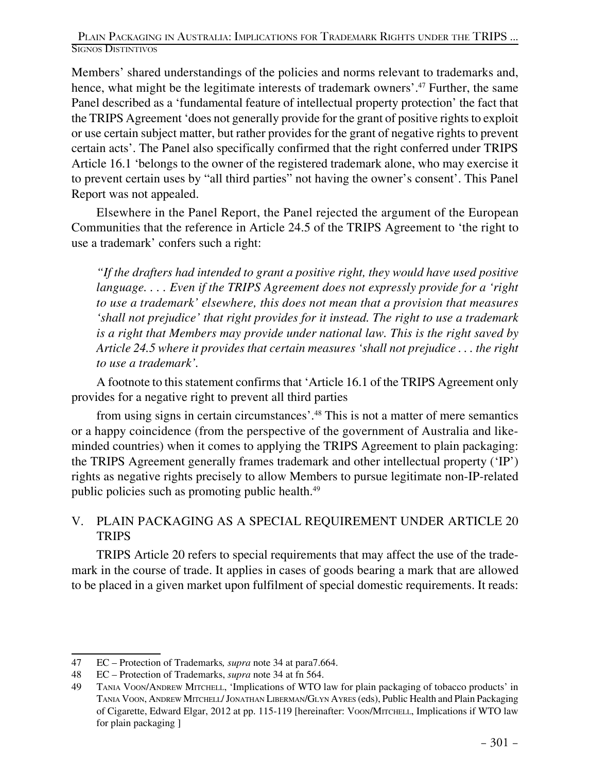Members' shared understandings of the policies and norms relevant to trademarks and, hence, what might be the legitimate interests of trademark owners'.<sup>47</sup> Further, the same Panel described as a 'fundamental feature of intellectual property protection' the fact that the TRIPS Agreement 'does not generally provide for the grant of positive rights to exploit or use certain subject matter, but rather provides for the grant of negative rights to prevent certain acts'. The Panel also specifically confirmed that the right conferred under TRIPS Article 16.1 'belongs to the owner of the registered trademark alone, who may exercise it to prevent certain uses by "all third parties" not having the owner's consent'. This Panel Report was not appealed.

Elsewhere in the Panel Report, the Panel rejected the argument of the European Communities that the reference in Article 24.5 of the TRIPS Agreement to 'the right to use a trademark' confers such a right:

*"If the drafters had intended to grant a positive right, they would have used positive language. . . . Even if the TRIPS Agreement does not expressly provide for a 'right to use a trademark' elsewhere, this does not mean that a provision that measures 'shall not prejudice' that right provides for it instead. The right to use a trademark is a right that Members may provide under national law. This is the right saved by Article 24.5 where it provides that certain measures 'shall not prejudice . . . the right to use a trademark'.*

A footnote to this statement confirms that 'Article 16.1 of the TRIPS Agreement only provides for a negative right to prevent all third parties

from using signs in certain circumstances'.48 This is not a matter of mere semantics or a happy coincidence (from the perspective of the government of Australia and likeminded countries) when it comes to applying the TRIPS Agreement to plain packaging: the TRIPS Agreement generally frames trademark and other intellectual property ('IP') rights as negative rights precisely to allow Members to pursue legitimate non-IP-related public policies such as promoting public health.49

#### V. PLAIN PACKAGING AS A SPECIAL REQUIREMENT UNDER ARTICLE 20 **TRIPS**

TRIPS Article 20 refers to special requirements that may affect the use of the trademark in the course of trade. It applies in cases of goods bearing a mark that are allowed to be placed in a given market upon fulfilment of special domestic requirements. It reads:

<sup>47</sup> EC – Protection of Trademarks*, supra* note 34 at para7.664.

<sup>48</sup> EC – Protection of Trademarks, *supra* note 34 at fn 564.

<sup>49</sup> Tania Voon/Andrew Mitchell, 'Implications of WTO law for plain packaging of tobacco products' in Tania Voon, Andrew Mitchell/ Jonathan Liberman/Glyn Ayres (eds), Public Health and Plain Packaging of Cigarette, Edward Elgar, 2012 at pp. 115-119 [hereinafter: Voon/Mitchell, Implications if WTO law for plain packaging ]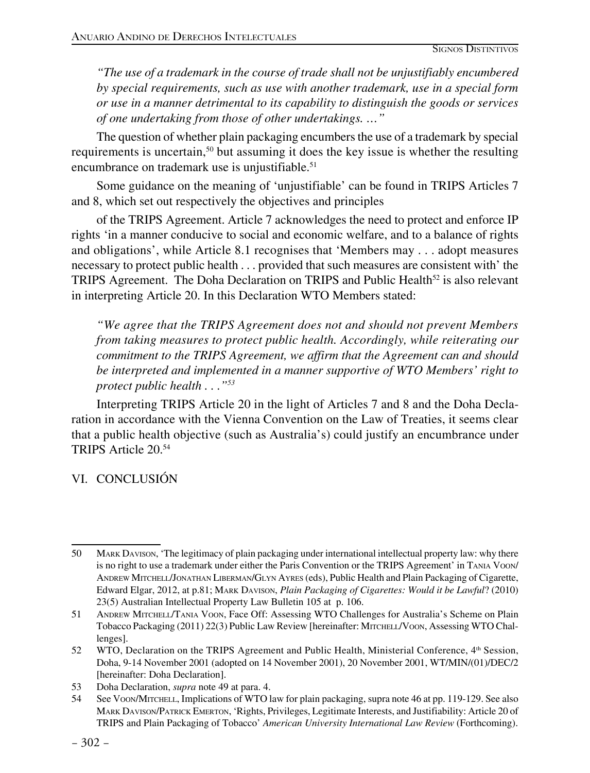*"The use of a trademark in the course of trade shall not be unjustifiably encumbered by special requirements, such as use with another trademark, use in a special form or use in a manner detrimental to its capability to distinguish the goods or services of one undertaking from those of other undertakings. …"*

The question of whether plain packaging encumbers the use of a trademark by special requirements is uncertain,50 but assuming it does the key issue is whether the resulting encumbrance on trademark use is unjustifiable.<sup>51</sup>

Some guidance on the meaning of 'unjustifiable' can be found in TRIPS Articles 7 and 8, which set out respectively the objectives and principles

of the TRIPS Agreement. Article 7 acknowledges the need to protect and enforce IP rights 'in a manner conducive to social and economic welfare, and to a balance of rights and obligations', while Article 8.1 recognises that 'Members may . . . adopt measures necessary to protect public health . . . provided that such measures are consistent with' the TRIPS Agreement. The Doha Declaration on TRIPS and Public Health<sup>52</sup> is also relevant in interpreting Article 20. In this Declaration WTO Members stated:

*"We agree that the TRIPS Agreement does not and should not prevent Members from taking measures to protect public health. Accordingly, while reiterating our commitment to the TRIPS Agreement, we affirm that the Agreement can and should be interpreted and implemented in a manner supportive of WTO Members' right to protect public health . . ."53*

Interpreting TRIPS Article 20 in the light of Articles 7 and 8 and the Doha Declaration in accordance with the Vienna Convention on the Law of Treaties, it seems clear that a public health objective (such as Australia's) could justify an encumbrance under TRIPS Article 20.54

### VI. CONCLUSIÓN

<sup>50</sup> Mark Davison, 'The legitimacy of plain packaging under international intellectual property law: why there is no right to use a trademark under either the Paris Convention or the TRIPS Agreement' in Tania Voon/ Andrew Mitchell/Jonathan Liberman/Glyn Ayres (eds), Public Health and Plain Packaging of Cigarette, Edward Elgar, 2012, at p.81; Mark Davison, *Plain Packaging of Cigarettes: Would it be Lawful*? (2010) 23(5) Australian Intellectual Property Law Bulletin 105 at p. 106.

<sup>51</sup> Andrew Mitchell/Tania Voon, Face Off: Assessing WTO Challenges for Australia's Scheme on Plain Tobacco Packaging (2011) 22(3) Public Law Review [hereinafter: Mitchell/Voon, Assessing WTO Challenges].

<sup>52</sup> WTO, Declaration on the TRIPS Agreement and Public Health, Ministerial Conference, 4th Session, Doha, 9-14 November 2001 (adopted on 14 November 2001), 20 November 2001, WT/MIN/(01)/DEC/2 [hereinafter: Doha Declaration].

<sup>53</sup> Doha Declaration, *supra* note 49 at para. 4.

<sup>54</sup> See Voon/Mitchell, Implications of WTO law for plain packaging, supra note 46 at pp. 119-129. See also Mark Davison/Patrick Emerton, 'Rights, Privileges, Legitimate Interests, and Justifiability: Article 20 of TRIPS and Plain Packaging of Tobacco' *American University International Law Review* (Forthcoming).